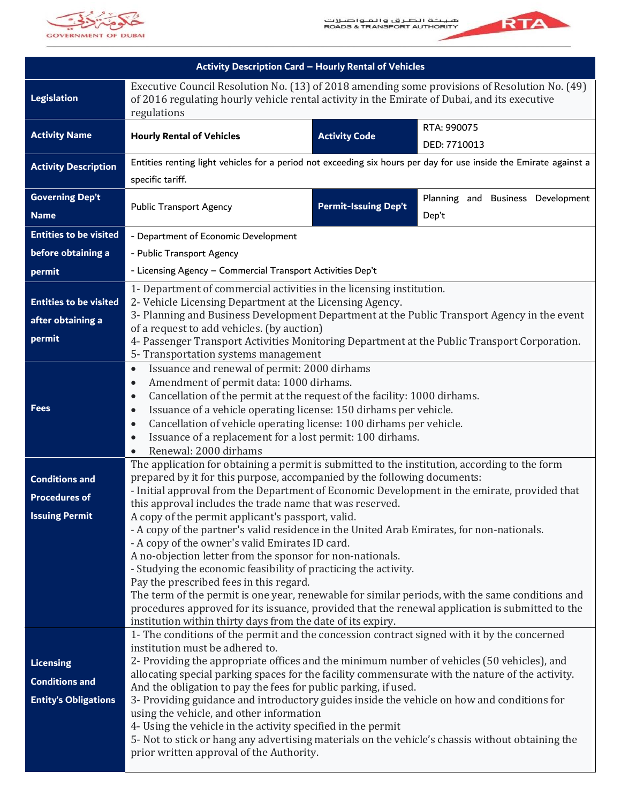



| Activity Description Card - Hourly Rental of Vehicles |                                                                                                                                                                                                              |                             |                                   |
|-------------------------------------------------------|--------------------------------------------------------------------------------------------------------------------------------------------------------------------------------------------------------------|-----------------------------|-----------------------------------|
| Legislation                                           | Executive Council Resolution No. (13) of 2018 amending some provisions of Resolution No. (49)<br>of 2016 regulating hourly vehicle rental activity in the Emirate of Dubai, and its executive<br>regulations |                             |                                   |
| <b>Activity Name</b>                                  | <b>Hourly Rental of Vehicles</b>                                                                                                                                                                             | <b>Activity Code</b>        | RTA: 990075<br>DED: 7710013       |
| <b>Activity Description</b>                           | Entities renting light vehicles for a period not exceeding six hours per day for use inside the Emirate against a                                                                                            |                             |                                   |
|                                                       | specific tariff.                                                                                                                                                                                             |                             |                                   |
| <b>Governing Dep't</b>                                |                                                                                                                                                                                                              | <b>Permit-Issuing Dep't</b> | Planning and Business Development |
| <b>Name</b>                                           | <b>Public Transport Agency</b>                                                                                                                                                                               |                             | Dep't                             |
| <b>Entities to be visited</b>                         | - Department of Economic Development                                                                                                                                                                         |                             |                                   |
| before obtaining a                                    | - Public Transport Agency                                                                                                                                                                                    |                             |                                   |
| permit                                                | - Licensing Agency - Commercial Transport Activities Dep't                                                                                                                                                   |                             |                                   |
|                                                       | 1- Department of commercial activities in the licensing institution.                                                                                                                                         |                             |                                   |
| <b>Entities to be visited</b>                         | 2- Vehicle Licensing Department at the Licensing Agency.                                                                                                                                                     |                             |                                   |
| after obtaining a                                     | 3- Planning and Business Development Department at the Public Transport Agency in the event<br>of a request to add vehicles. (by auction)                                                                    |                             |                                   |
| permit                                                | 4- Passenger Transport Activities Monitoring Department at the Public Transport Corporation.                                                                                                                 |                             |                                   |
|                                                       | 5- Transportation systems management                                                                                                                                                                         |                             |                                   |
|                                                       | Issuance and renewal of permit: 2000 dirhams<br>$\bullet$<br>Amendment of permit data: 1000 dirhams.<br>$\bullet$<br>Cancellation of the permit at the request of the facility: 1000 dirhams.                |                             |                                   |
|                                                       |                                                                                                                                                                                                              |                             |                                   |
| <b>Fees</b>                                           | $\bullet$<br>Issuance of a vehicle operating license: 150 dirhams per vehicle.<br>$\bullet$                                                                                                                  |                             |                                   |
|                                                       | Cancellation of vehicle operating license: 100 dirhams per vehicle.<br>$\bullet$                                                                                                                             |                             |                                   |
|                                                       | Issuance of a replacement for a lost permit: 100 dirhams.<br>$\bullet$                                                                                                                                       |                             |                                   |
|                                                       | Renewal: 2000 dirhams<br>$\bullet$                                                                                                                                                                           |                             |                                   |
| <b>Conditions and</b>                                 | The application for obtaining a permit is submitted to the institution, according to the form<br>prepared by it for this purpose, accompanied by the following documents:                                    |                             |                                   |
| <b>Procedures of</b>                                  | - Initial approval from the Department of Economic Development in the emirate, provided that                                                                                                                 |                             |                                   |
|                                                       | this approval includes the trade name that was reserved.                                                                                                                                                     |                             |                                   |
| <b>Issuing Permit</b>                                 | A copy of the permit applicant's passport, valid.<br>- A copy of the partner's valid residence in the United Arab Emirates, for non-nationals.                                                               |                             |                                   |
|                                                       | - A copy of the owner's valid Emirates ID card.                                                                                                                                                              |                             |                                   |
|                                                       | A no-objection letter from the sponsor for non-nationals.                                                                                                                                                    |                             |                                   |
|                                                       | - Studying the economic feasibility of practicing the activity.                                                                                                                                              |                             |                                   |
|                                                       | Pay the prescribed fees in this regard.<br>The term of the permit is one year, renewable for similar periods, with the same conditions and                                                                   |                             |                                   |
|                                                       | procedures approved for its issuance, provided that the renewal application is submitted to the                                                                                                              |                             |                                   |
|                                                       | institution within thirty days from the date of its expiry.                                                                                                                                                  |                             |                                   |
|                                                       | 1- The conditions of the permit and the concession contract signed with it by the concerned<br>institution must be adhered to.                                                                               |                             |                                   |
| <b>Licensing</b>                                      | 2- Providing the appropriate offices and the minimum number of vehicles (50 vehicles), and                                                                                                                   |                             |                                   |
| <b>Conditions and</b>                                 | allocating special parking spaces for the facility commensurate with the nature of the activity.                                                                                                             |                             |                                   |
|                                                       | And the obligation to pay the fees for public parking, if used.                                                                                                                                              |                             |                                   |
| <b>Entity's Obligations</b>                           | 3- Providing guidance and introductory guides inside the vehicle on how and conditions for<br>using the vehicle, and other information                                                                       |                             |                                   |
|                                                       | 4- Using the vehicle in the activity specified in the permit                                                                                                                                                 |                             |                                   |
|                                                       | 5- Not to stick or hang any advertising materials on the vehicle's chassis without obtaining the                                                                                                             |                             |                                   |
|                                                       | prior written approval of the Authority.                                                                                                                                                                     |                             |                                   |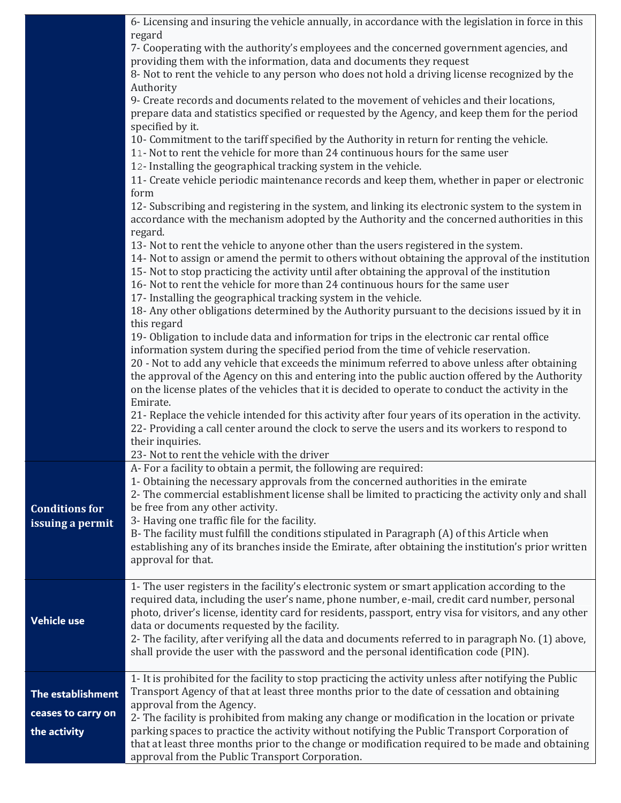|                       | 6- Licensing and insuring the vehicle annually, in accordance with the legislation in force in this                                                                                                    |
|-----------------------|--------------------------------------------------------------------------------------------------------------------------------------------------------------------------------------------------------|
|                       | regard<br>7- Cooperating with the authority's employees and the concerned government agencies, and                                                                                                     |
|                       | providing them with the information, data and documents they request                                                                                                                                   |
|                       | 8- Not to rent the vehicle to any person who does not hold a driving license recognized by the                                                                                                         |
|                       | Authority                                                                                                                                                                                              |
|                       | 9- Create records and documents related to the movement of vehicles and their locations,                                                                                                               |
|                       | prepare data and statistics specified or requested by the Agency, and keep them for the period                                                                                                         |
|                       | specified by it.                                                                                                                                                                                       |
|                       | 10- Commitment to the tariff specified by the Authority in return for renting the vehicle.<br>11- Not to rent the vehicle for more than 24 continuous hours for the same user                          |
|                       | 12- Installing the geographical tracking system in the vehicle.                                                                                                                                        |
|                       | 11- Create vehicle periodic maintenance records and keep them, whether in paper or electronic                                                                                                          |
|                       | form                                                                                                                                                                                                   |
|                       | 12- Subscribing and registering in the system, and linking its electronic system to the system in<br>accordance with the mechanism adopted by the Authority and the concerned authorities in this      |
|                       | regard.                                                                                                                                                                                                |
|                       | 13- Not to rent the vehicle to anyone other than the users registered in the system.                                                                                                                   |
|                       | 14- Not to assign or amend the permit to others without obtaining the approval of the institution<br>15- Not to stop practicing the activity until after obtaining the approval of the institution     |
|                       | 16- Not to rent the vehicle for more than 24 continuous hours for the same user                                                                                                                        |
|                       | 17- Installing the geographical tracking system in the vehicle.                                                                                                                                        |
|                       | 18- Any other obligations determined by the Authority pursuant to the decisions issued by it in                                                                                                        |
|                       | this regard                                                                                                                                                                                            |
|                       | 19-Obligation to include data and information for trips in the electronic car rental office                                                                                                            |
|                       | information system during the specified period from the time of vehicle reservation.                                                                                                                   |
|                       | 20 - Not to add any vehicle that exceeds the minimum referred to above unless after obtaining                                                                                                          |
|                       | the approval of the Agency on this and entering into the public auction offered by the Authority<br>on the license plates of the vehicles that it is decided to operate to conduct the activity in the |
|                       | Emirate.                                                                                                                                                                                               |
|                       | 21- Replace the vehicle intended for this activity after four years of its operation in the activity.                                                                                                  |
|                       | 22- Providing a call center around the clock to serve the users and its workers to respond to                                                                                                          |
|                       | their inquiries.                                                                                                                                                                                       |
|                       | 23- Not to rent the vehicle with the driver                                                                                                                                                            |
|                       | A- For a facility to obtain a permit, the following are required:                                                                                                                                      |
|                       | 1- Obtaining the necessary approvals from the concerned authorities in the emirate<br>2- The commercial establishment license shall be limited to practicing the activity only and shall               |
| <b>Conditions for</b> | be free from any other activity.                                                                                                                                                                       |
| issuing a permit      | 3- Having one traffic file for the facility.                                                                                                                                                           |
|                       | B- The facility must fulfill the conditions stipulated in Paragraph (A) of this Article when                                                                                                           |
|                       | establishing any of its branches inside the Emirate, after obtaining the institution's prior written                                                                                                   |
|                       | approval for that.                                                                                                                                                                                     |
|                       | 1- The user registers in the facility's electronic system or smart application according to the                                                                                                        |
|                       | required data, including the user's name, phone number, e-mail, credit card number, personal                                                                                                           |
|                       | photo, driver's license, identity card for residents, passport, entry visa for visitors, and any other                                                                                                 |
| <b>Vehicle use</b>    | data or documents requested by the facility.                                                                                                                                                           |
|                       | 2- The facility, after verifying all the data and documents referred to in paragraph No. (1) above,                                                                                                    |
|                       | shall provide the user with the password and the personal identification code (PIN).                                                                                                                   |
|                       |                                                                                                                                                                                                        |
|                       | 1- It is prohibited for the facility to stop practicing the activity unless after notifying the Public<br>Transport Agency of that at least three months prior to the date of cessation and obtaining  |
| The establishment     | approval from the Agency.                                                                                                                                                                              |
| ceases to carry on    | 2- The facility is prohibited from making any change or modification in the location or private                                                                                                        |
| the activity          | parking spaces to practice the activity without notifying the Public Transport Corporation of                                                                                                          |
|                       | that at least three months prior to the change or modification required to be made and obtaining                                                                                                       |
|                       | approval from the Public Transport Corporation.                                                                                                                                                        |